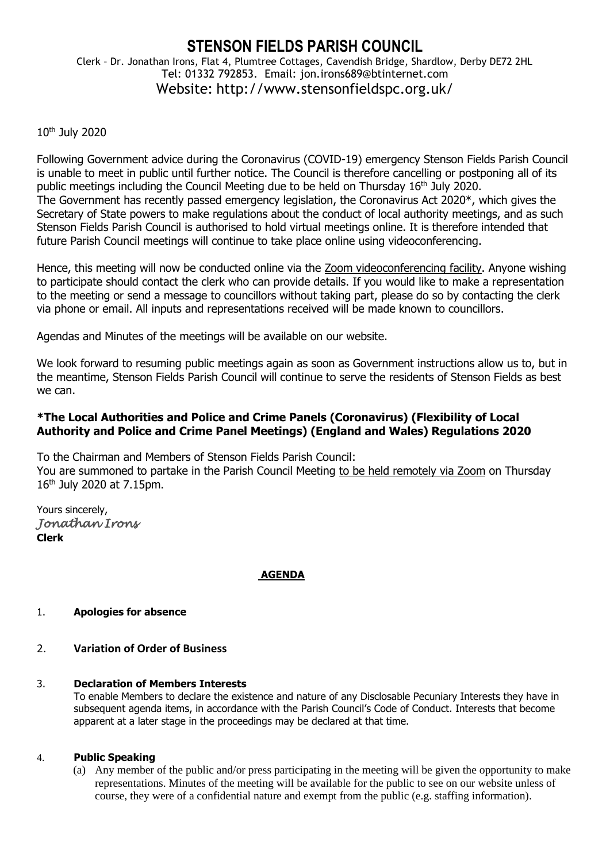# **STENSON FIELDS PARISH COUNCIL**

Clerk – Dr. Jonathan Irons, Flat 4, Plumtree Cottages, Cavendish Bridge, Shardlow, Derby DE72 2HL Tel: 01332 792853. Email: jon.irons689@btinternet.com Website: http://www.stensonfieldspc.org.uk/

# 10th July 2020

Following Government advice during the Coronavirus (COVID-19) emergency Stenson Fields Parish Council is unable to meet in public until further notice. The Council is therefore cancelling or postponing all of its public meetings including the Council Meeting due to be held on Thursday 16<sup>th</sup> July 2020. The Government has recently passed emergency legislation, the Coronavirus Act 2020\*, which gives the Secretary of State powers to make regulations about the conduct of local authority meetings, and as such Stenson Fields Parish Council is authorised to hold virtual meetings online. It is therefore intended that future Parish Council meetings will continue to take place online using videoconferencing.

Hence, this meeting will now be conducted online via the Zoom videoconferencing facility. Anyone wishing to participate should contact the clerk who can provide details. If you would like to make a representation to the meeting or send a message to councillors without taking part, please do so by contacting the clerk via phone or email. All inputs and representations received will be made known to councillors.

Agendas and Minutes of the meetings will be available on our website.

We look forward to resuming public meetings again as soon as Government instructions allow us to, but in the meantime, Stenson Fields Parish Council will continue to serve the residents of Stenson Fields as best we can.

# **\*The Local Authorities and Police and Crime Panels (Coronavirus) (Flexibility of Local Authority and Police and Crime Panel Meetings) (England and Wales) Regulations 2020**

To the Chairman and Members of Stenson Fields Parish Council: You are summoned to partake in the Parish Council Meeting to be held remotely via Zoom on Thursday 16 th July 2020 at 7.15pm.

Yours sincerely, *Jonathan Irons*  **Clerk**

# **AGENDA**

# 1. **Apologies for absence**

# 2. **Variation of Order of Business**

# 3. **Declaration of Members Interests**

To enable Members to declare the existence and nature of any Disclosable Pecuniary Interests they have in subsequent agenda items, in accordance with the Parish Council's Code of Conduct. Interests that become apparent at a later stage in the proceedings may be declared at that time.

# 4. **Public Speaking**

(a) Any member of the public and/or press participating in the meeting will be given the opportunity to make representations. Minutes of the meeting will be available for the public to see on our website unless of course, they were of a confidential nature and exempt from the public (e.g. staffing information).